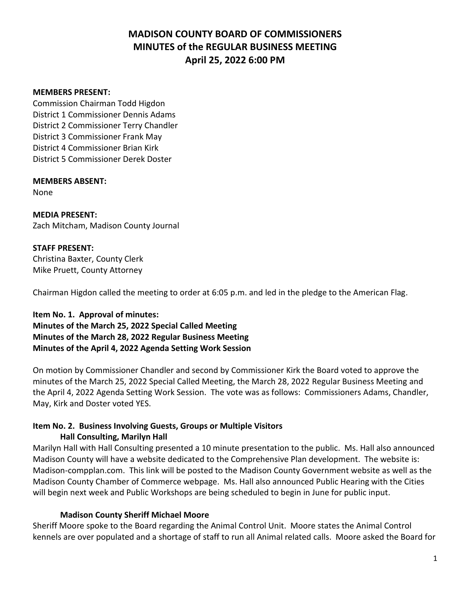#### **MEMBERS PRESENT:**

Commission Chairman Todd Higdon District 1 Commissioner Dennis Adams District 2 Commissioner Terry Chandler District 3 Commissioner Frank May District 4 Commissioner Brian Kirk District 5 Commissioner Derek Doster

#### **MEMBERS ABSENT:**

None

**MEDIA PRESENT:** Zach Mitcham, Madison County Journal

#### **STAFF PRESENT:**

Christina Baxter, County Clerk Mike Pruett, County Attorney

Chairman Higdon called the meeting to order at 6:05 p.m. and led in the pledge to the American Flag.

## **Item No. 1. Approval of minutes: Minutes of the March 25, 2022 Special Called Meeting Minutes of the March 28, 2022 Regular Business Meeting Minutes of the April 4, 2022 Agenda Setting Work Session**

On motion by Commissioner Chandler and second by Commissioner Kirk the Board voted to approve the minutes of the March 25, 2022 Special Called Meeting, the March 28, 2022 Regular Business Meeting and the April 4, 2022 Agenda Setting Work Session. The vote was as follows: Commissioners Adams, Chandler, May, Kirk and Doster voted YES.

#### **Item No. 2. Business Involving Guests, Groups or Multiple Visitors Hall Consulting, Marilyn Hall**

Marilyn Hall with Hall Consulting presented a 10 minute presentation to the public. Ms. Hall also announced Madison County will have a website dedicated to the Comprehensive Plan development. The website is: Madison-compplan.com. This link will be posted to the Madison County Government website as well as the Madison County Chamber of Commerce webpage. Ms. Hall also announced Public Hearing with the Cities will begin next week and Public Workshops are being scheduled to begin in June for public input.

### **Madison County Sheriff Michael Moore**

Sheriff Moore spoke to the Board regarding the Animal Control Unit. Moore states the Animal Control kennels are over populated and a shortage of staff to run all Animal related calls. Moore asked the Board for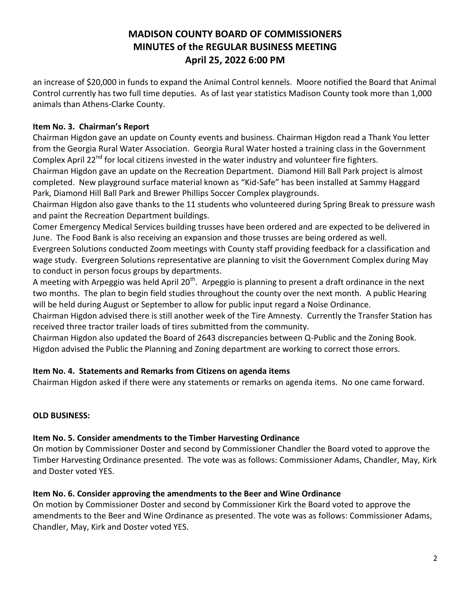an increase of \$20,000 in funds to expand the Animal Control kennels. Moore notified the Board that Animal Control currently has two full time deputies. As of last year statistics Madison County took more than 1,000 animals than Athens-Clarke County.

## **Item No. 3. Chairman's Report**

Chairman Higdon gave an update on County events and business. Chairman Higdon read a Thank You letter from the Georgia Rural Water Association. Georgia Rural Water hosted a training class in the Government Complex April 22<sup>nd</sup> for local citizens invested in the water industry and volunteer fire fighters.

Chairman Higdon gave an update on the Recreation Department. Diamond Hill Ball Park project is almost completed. New playground surface material known as "Kid-Safe" has been installed at Sammy Haggard Park, Diamond Hill Ball Park and Brewer Phillips Soccer Complex playgrounds.

Chairman Higdon also gave thanks to the 11 students who volunteered during Spring Break to pressure wash and paint the Recreation Department buildings.

Comer Emergency Medical Services building trusses have been ordered and are expected to be delivered in June. The Food Bank is also receiving an expansion and those trusses are being ordered as well.

Evergreen Solutions conducted Zoom meetings with County staff providing feedback for a classification and wage study. Evergreen Solutions representative are planning to visit the Government Complex during May to conduct in person focus groups by departments.

A meeting with Arpeggio was held April 20<sup>th</sup>. Arpeggio is planning to present a draft ordinance in the next two months. The plan to begin field studies throughout the county over the next month. A public Hearing will be held during August or September to allow for public input regard a Noise Ordinance.

Chairman Higdon advised there is still another week of the Tire Amnesty. Currently the Transfer Station has received three tractor trailer loads of tires submitted from the community.

Chairman Higdon also updated the Board of 2643 discrepancies between Q-Public and the Zoning Book. Higdon advised the Public the Planning and Zoning department are working to correct those errors.

## **Item No. 4. Statements and Remarks from Citizens on agenda items**

Chairman Higdon asked if there were any statements or remarks on agenda items. No one came forward.

## **OLD BUSINESS:**

## **Item No. 5. Consider amendments to the Timber Harvesting Ordinance**

On motion by Commissioner Doster and second by Commissioner Chandler the Board voted to approve the Timber Harvesting Ordinance presented. The vote was as follows: Commissioner Adams, Chandler, May, Kirk and Doster voted YES.

## **Item No. 6. Consider approving the amendments to the Beer and Wine Ordinance**

On motion by Commissioner Doster and second by Commissioner Kirk the Board voted to approve the amendments to the Beer and Wine Ordinance as presented. The vote was as follows: Commissioner Adams, Chandler, May, Kirk and Doster voted YES.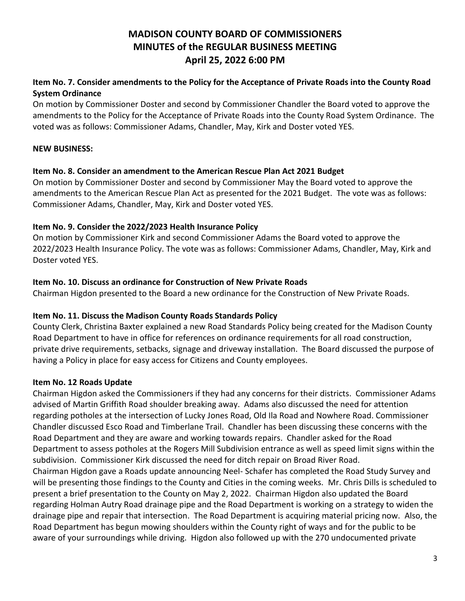## **Item No. 7. Consider amendments to the Policy for the Acceptance of Private Roads into the County Road System Ordinance**

On motion by Commissioner Doster and second by Commissioner Chandler the Board voted to approve the amendments to the Policy for the Acceptance of Private Roads into the County Road System Ordinance. The voted was as follows: Commissioner Adams, Chandler, May, Kirk and Doster voted YES.

### **NEW BUSINESS:**

### **Item No. 8. Consider an amendment to the American Rescue Plan Act 2021 Budget**

On motion by Commissioner Doster and second by Commissioner May the Board voted to approve the amendments to the American Rescue Plan Act as presented for the 2021 Budget. The vote was as follows: Commissioner Adams, Chandler, May, Kirk and Doster voted YES.

### **Item No. 9. Consider the 2022/2023 Health Insurance Policy**

On motion by Commissioner Kirk and second Commissioner Adams the Board voted to approve the 2022/2023 Health Insurance Policy. The vote was as follows: Commissioner Adams, Chandler, May, Kirk and Doster voted YES.

### **Item No. 10. Discuss an ordinance for Construction of New Private Roads**

Chairman Higdon presented to the Board a new ordinance for the Construction of New Private Roads.

### **Item No. 11. Discuss the Madison County Roads Standards Policy**

County Clerk, Christina Baxter explained a new Road Standards Policy being created for the Madison County Road Department to have in office for references on ordinance requirements for all road construction, private drive requirements, setbacks, signage and driveway installation. The Board discussed the purpose of having a Policy in place for easy access for Citizens and County employees.

## **Item No. 12 Roads Update**

Chairman Higdon asked the Commissioners if they had any concerns for their districts. Commissioner Adams advised of Martin Griffith Road shoulder breaking away. Adams also discussed the need for attention regarding potholes at the intersection of Lucky Jones Road, Old Ila Road and Nowhere Road. Commissioner Chandler discussed Esco Road and Timberlane Trail. Chandler has been discussing these concerns with the Road Department and they are aware and working towards repairs. Chandler asked for the Road Department to assess potholes at the Rogers Mill Subdivision entrance as well as speed limit signs within the subdivision. Commissioner Kirk discussed the need for ditch repair on Broad River Road. Chairman Higdon gave a Roads update announcing Neel- Schafer has completed the Road Study Survey and will be presenting those findings to the County and Cities in the coming weeks. Mr. Chris Dills is scheduled to present a brief presentation to the County on May 2, 2022. Chairman Higdon also updated the Board regarding Holman Autry Road drainage pipe and the Road Department is working on a strategy to widen the drainage pipe and repair that intersection. The Road Department is acquiring material pricing now. Also, the Road Department has begun mowing shoulders within the County right of ways and for the public to be aware of your surroundings while driving. Higdon also followed up with the 270 undocumented private